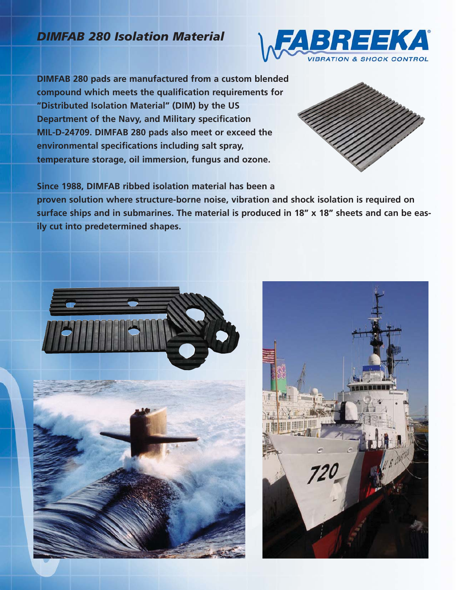# *DIMFAB 280 Isolation Material*



**DIMFAB 280 pads are manufactured from a custom blended compound which meets the qualification requirements for "Distributed Isolation Material" (DIM) by the US Department of the Navy, and Military specification MIL-D-24709. DIMFAB 280 pads also meet or exceed the environmental specifications including salt spray, temperature storage, oil immersion, fungus and ozone.**



**Since 1988, DIMFAB ribbed isolation material has been a**

**proven solution where structure-borne noise, vibration and shock isolation is required on surface ships and in submarines. The material is produced in 18" x 18" sheets and can be easily cut into predetermined shapes.**